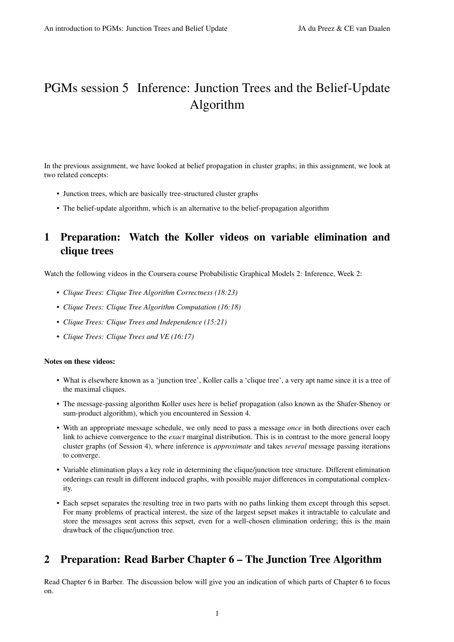# PGMs session 5 Inference: Junction Trees and the Belief-Update Algorithm

In the previous assignment, we have looked at belief propagation in cluster graphs; in this assignment, we look at two related concepts:

- Junction trees, which are basically tree-structured cluster graphs
- The belief-update algorithm, which is an alternative to the belief-propagation algorithm

# 1 Preparation: Watch the Koller videos on variable elimination and clique trees

Watch the following videos in the Coursera course Probabilistic Graphical Models 2: Inference, Week 2:

- *Clique Trees: Clique Tree Algorithm Correctness (18:23)*
- *Clique Trees: Clique Tree Algorithm Computation (16:18)*
- *Clique Trees: Clique Trees and Independence (15:21)*
- *Clique Trees: Clique Trees and VE (16:17)*

#### Notes on these videos:

- What is elsewhere known as a 'junction tree', Koller calls a 'clique tree', a very apt name since it is a tree of the maximal cliques.
- The message-passing algorithm Koller uses here is belief propagation (also known as the Shafer-Shenoy or sum-product algorithm), which you encountered in Session 4.
- With an appropriate message schedule, we only need to pass a message *once* in both directions over each link to achieve convergence to the *exact* marginal distribution. This is in contrast to the more general loopy cluster graphs (of Session 4), where inference is *approximate* and takes *several* message passing iterations to converge.
- Variable elimination plays a key role in determining the clique/junction tree structure. Different elimination orderings can result in different induced graphs, with possible major differences in computational complexity.
- Each sepset separates the resulting tree in two parts with no paths linking them except through this sepset. For many problems of practical interest, the size of the largest sepset makes it intractable to calculate and store the messages sent across this sepset, even for a well-chosen elimination ordering; this is the main drawback of the clique/junction tree.

### 2 Preparation: Read Barber Chapter 6 – The Junction Tree Algorithm

Read Chapter 6 in Barber. The discussion below will give you an indication of which parts of Chapter 6 to focus on.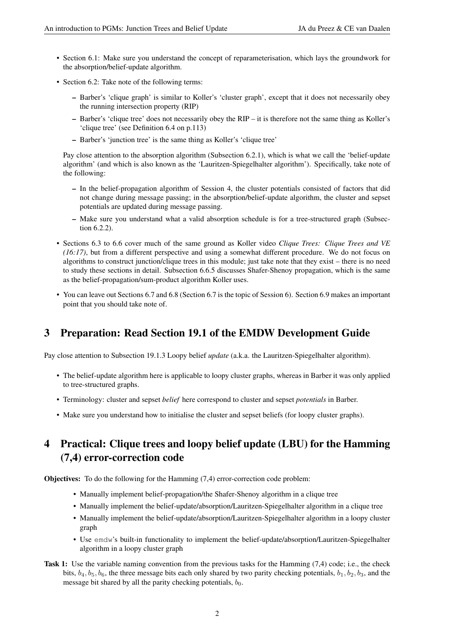- Section 6.1: Make sure you understand the concept of reparameterisation, which lays the groundwork for the absorption/belief-update algorithm.
- Section 6.2: Take note of the following terms:
	- Barber's 'clique graph' is similar to Koller's 'cluster graph', except that it does not necessarily obey the running intersection property (RIP)
	- Barber's 'clique tree' does not necessarily obey the RIP it is therefore not the same thing as Koller's 'clique tree' (see Definition 6.4 on p.113)
	- Barber's 'junction tree' is the same thing as Koller's 'clique tree'

Pay close attention to the absorption algorithm (Subsection 6.2.1), which is what we call the 'belief-update algorithm' (and which is also known as the 'Lauritzen-Spiegelhalter algorithm'). Specifically, take note of the following:

- In the belief-propagation algorithm of Session 4, the cluster potentials consisted of factors that did not change during message passing; in the absorption/belief-update algorithm, the cluster and sepset potentials are updated during message passing.
- Make sure you understand what a valid absorption schedule is for a tree-structured graph (Subsection 6.2.2).
- Sections 6.3 to 6.6 cover much of the same ground as Koller video *Clique Trees: Clique Trees and VE (16:17)*, but from a different perspective and using a somewhat different procedure. We do not focus on algorithms to construct junction/clique trees in this module; just take note that they exist – there is no need to study these sections in detail. Subsection 6.6.5 discusses Shafer-Shenoy propagation, which is the same as the belief-propagation/sum-product algorithm Koller uses.
- You can leave out Sections 6.7 and 6.8 (Section 6.7 is the topic of Session 6). Section 6.9 makes an important point that you should take note of.

### 3 Preparation: Read Section 19.1 of the EMDW Development Guide

Pay close attention to Subsection 19.1.3 Loopy belief *update* (a.k.a. the Lauritzen-Spiegelhalter algorithm).

- The belief-update algorithm here is applicable to loopy cluster graphs, whereas in Barber it was only applied to tree-structured graphs.
- Terminology: cluster and sepset *belief* here correspond to cluster and sepset *potentials* in Barber.
- Make sure you understand how to initialise the cluster and sepset beliefs (for loopy cluster graphs).

# 4 Practical: Clique trees and loopy belief update (LBU) for the Hamming (7,4) error-correction code

Objectives: To do the following for the Hamming (7,4) error-correction code problem:

- Manually implement belief-propagation/the Shafer-Shenoy algorithm in a clique tree
- Manually implement the belief-update/absorption/Lauritzen-Spiegelhalter algorithm in a clique tree
- Manually implement the belief-update/absorption/Lauritzen-Spiegelhalter algorithm in a loopy cluster graph
- Use emdw's built-in functionality to implement the belief-update/absorption/Lauritzen-Spiegelhalter algorithm in a loopy cluster graph
- Task 1: Use the variable naming convention from the previous tasks for the Hamming (7,4) code; i.e., the check bits,  $b_4$ ,  $b_5$ ,  $b_6$ , the three message bits each only shared by two parity checking potentials,  $b_1$ ,  $b_2$ ,  $b_3$ , and the message bit shared by all the parity checking potentials,  $b_0$ .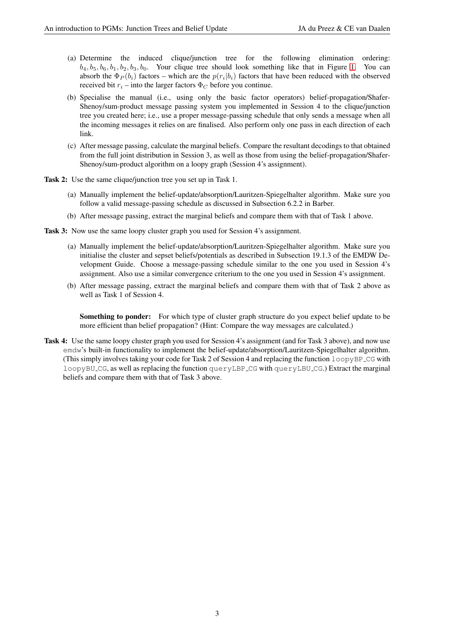- (a) Determine the induced clique/junction tree for the following elimination ordering:  $b_4, b_5, b_6, b_1, b_2, b_3, b_0$ . Your clique tree should look something like that in Figure [1.](#page-3-0) You can absorb the  $\Phi_P(b_i)$  factors – which are the  $p(r_i|b_i)$  factors that have been reduced with the observed received bit  $r_i$  – into the larger factors  $\Phi_C$  before you continue.
- (b) Specialise the manual (i.e., using only the basic factor operators) belief-propagation/Shafer-Shenoy/sum-product message passing system you implemented in Session 4 to the clique/junction tree you created here; i.e., use a proper message-passing schedule that only sends a message when all the incoming messages it relies on are finalised. Also perform only one pass in each direction of each link.
- (c) After message passing, calculate the marginal beliefs. Compare the resultant decodings to that obtained from the full joint distribution in Session 3, as well as those from using the belief-propagation/Shafer-Shenoy/sum-product algorithm on a loopy graph (Session 4's assignment).

Task 2: Use the same clique/junction tree you set up in Task 1.

- (a) Manually implement the belief-update/absorption/Lauritzen-Spiegelhalter algorithm. Make sure you follow a valid message-passing schedule as discussed in Subsection 6.2.2 in Barber.
- (b) After message passing, extract the marginal beliefs and compare them with that of Task 1 above.
- Task 3: Now use the same loopy cluster graph you used for Session 4's assignment.
	- (a) Manually implement the belief-update/absorption/Lauritzen-Spiegelhalter algorithm. Make sure you initialise the cluster and sepset beliefs/potentials as described in Subsection 19.1.3 of the EMDW Development Guide. Choose a message-passing schedule similar to the one you used in Session 4's assignment. Also use a similar convergence criterium to the one you used in Session 4's assignment.
	- (b) After message passing, extract the marginal beliefs and compare them with that of Task 2 above as well as Task 1 of Session 4.

Something to ponder: For which type of cluster graph structure do you expect belief update to be more efficient than belief propagation? (Hint: Compare the way messages are calculated.)

Task 4: Use the same loopy cluster graph you used for Session 4's assignment (and for Task 3 above), and now use emdw's built-in functionality to implement the belief-update/absorption/Lauritzen-Spiegelhalter algorithm. (This simply involves taking your code for Task 2 of Session 4 and replacing the function  $l$  oopyBP  $\text{CG}$  with loopyBU CG, as well as replacing the function queryLBP CG with queryLBU CG.) Extract the marginal beliefs and compare them with that of Task 3 above.